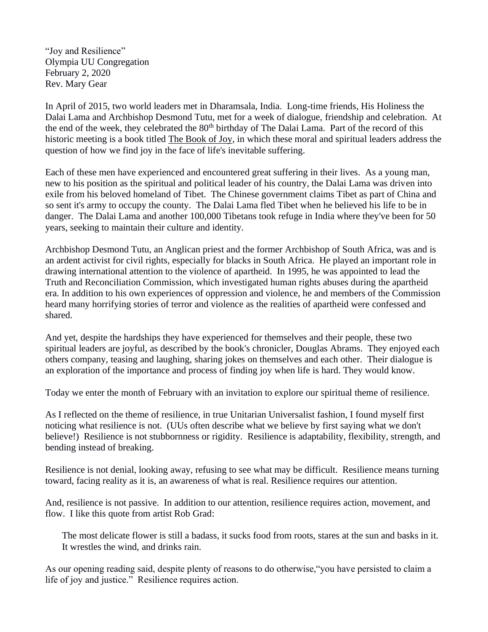"Joy and Resilience" Olympia UU Congregation February 2, 2020 Rev. Mary Gear

In April of 2015, two world leaders met in Dharamsala, India. Long-time friends, His Holiness the Dalai Lama and Archbishop Desmond Tutu, met for a week of dialogue, friendship and celebration. At the end of the week, they celebrated the 80<sup>th</sup> birthday of The Dalai Lama. Part of the record of this historic meeting is a book titled The Book of Joy, in which these moral and spiritual leaders address the question of how we find joy in the face of life's inevitable suffering.

Each of these men have experienced and encountered great suffering in their lives. As a young man, new to his position as the spiritual and political leader of his country, the Dalai Lama was driven into exile from his beloved homeland of Tibet. The Chinese government claims Tibet as part of China and so sent it's army to occupy the county. The Dalai Lama fled Tibet when he believed his life to be in danger. The Dalai Lama and another 100,000 Tibetans took refuge in India where they've been for 50 years, seeking to maintain their culture and identity.

Archbishop Desmond Tutu, an Anglican priest and the former Archbishop of South Africa, was and is an ardent activist for civil rights, especially for blacks in South Africa. He played an important role in drawing international attention to the violence of apartheid. In 1995, he was appointed to lead the Truth and Reconciliation Commission, which investigated human rights abuses during the apartheid era. In addition to his own experiences of oppression and violence, he and members of the Commission heard many horrifying stories of terror and violence as the realities of apartheid were confessed and shared.

And yet, despite the hardships they have experienced for themselves and their people, these two spiritual leaders are joyful, as described by the book's chronicler, Douglas Abrams. They enjoyed each others company, teasing and laughing, sharing jokes on themselves and each other. Their dialogue is an exploration of the importance and process of finding joy when life is hard. They would know.

Today we enter the month of February with an invitation to explore our spiritual theme of resilience.

As I reflected on the theme of resilience, in true Unitarian Universalist fashion, I found myself first noticing what resilience is not. (UUs often describe what we believe by first saying what we don't believe!) Resilience is not stubbornness or rigidity. Resilience is adaptability, flexibility, strength, and bending instead of breaking.

Resilience is not denial, looking away, refusing to see what may be difficult. Resilience means turning toward, facing reality as it is, an awareness of what is real. Resilience requires our attention.

And, resilience is not passive. In addition to our attention, resilience requires action, movement, and flow. I like this quote from artist Rob Grad:

The most delicate flower is still a badass, it sucks food from roots, stares at the sun and basks in it. It wrestles the wind, and drinks rain.

As our opening reading said, despite plenty of reasons to do otherwise,"you have persisted to claim a life of joy and justice." Resilience requires action.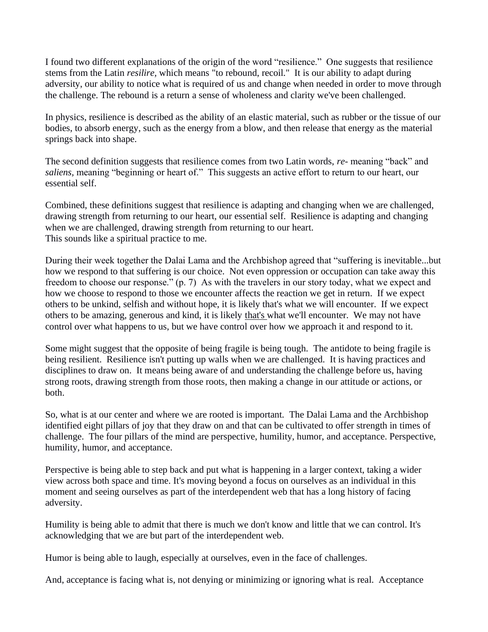I found two different explanations of the origin of the word "resilience." One suggests that resilience stems from the Latin *resilire,* which means "to rebound, recoil." It is our ability to adapt during adversity, our ability to notice what is required of us and change when needed in order to move through the challenge. The rebound is a return a sense of wholeness and clarity we've been challenged.

In physics, resilience is described as the ability of an elastic material, such as rubber or the tissue of our bodies, to absorb energy, such as the energy from a blow, and then release that energy as the material springs back into shape.

The second definition suggests that resilience comes from two Latin words, *re-* meaning "back" and *saliens,* meaning "beginning or heart of." This suggests an active effort to return to our heart, our essential self.

Combined, these definitions suggest that resilience is adapting and changing when we are challenged, drawing strength from returning to our heart, our essential self. Resilience is adapting and changing when we are challenged, drawing strength from returning to our heart. This sounds like a spiritual practice to me.

During their week together the Dalai Lama and the Archbishop agreed that "suffering is inevitable...but how we respond to that suffering is our choice. Not even oppression or occupation can take away this freedom to choose our response." (p. 7) As with the travelers in our story today, what we expect and how we choose to respond to those we encounter affects the reaction we get in return. If we expect others to be unkind, selfish and without hope, it is likely that's what we will encounter. If we expect others to be amazing, generous and kind, it is likely that's what we'll encounter. We may not have control over what happens to us, but we have control over how we approach it and respond to it.

Some might suggest that the opposite of being fragile is being tough. The antidote to being fragile is being resilient. Resilience isn't putting up walls when we are challenged. It is having practices and disciplines to draw on. It means being aware of and understanding the challenge before us, having strong roots, drawing strength from those roots, then making a change in our attitude or actions, or both.

So, what is at our center and where we are rooted is important. The Dalai Lama and the Archbishop identified eight pillars of joy that they draw on and that can be cultivated to offer strength in times of challenge. The four pillars of the mind are perspective, humility, humor, and acceptance. Perspective, humility, humor, and acceptance.

Perspective is being able to step back and put what is happening in a larger context, taking a wider view across both space and time. It's moving beyond a focus on ourselves as an individual in this moment and seeing ourselves as part of the interdependent web that has a long history of facing adversity.

Humility is being able to admit that there is much we don't know and little that we can control. It's acknowledging that we are but part of the interdependent web.

Humor is being able to laugh, especially at ourselves, even in the face of challenges.

And, acceptance is facing what is, not denying or minimizing or ignoring what is real. Acceptance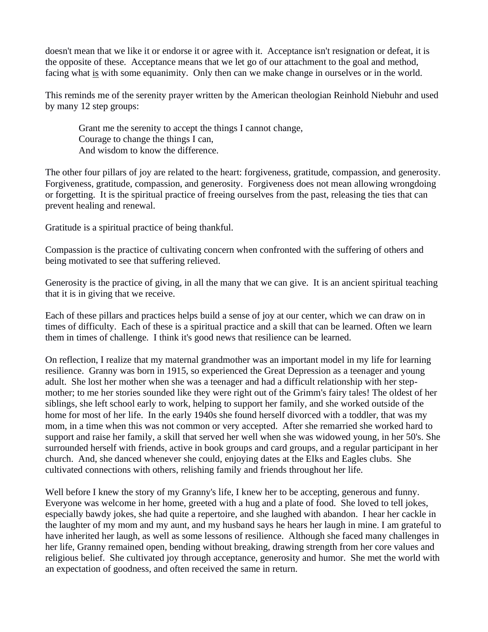doesn't mean that we like it or endorse it or agree with it. Acceptance isn't resignation or defeat, it is the opposite of these. Acceptance means that we let go of our attachment to the goal and method, facing what is with some equanimity. Only then can we make change in ourselves or in the world.

This reminds me of the serenity prayer written by the American theologian Reinhold Niebuhr and used by many 12 step groups:

Grant me the serenity to accept the things I cannot change, Courage to change the things I can, And wisdom to know the difference.

The other four pillars of joy are related to the heart: forgiveness, gratitude, compassion, and generosity. Forgiveness, gratitude, compassion, and generosity. Forgiveness does not mean allowing wrongdoing or forgetting. It is the spiritual practice of freeing ourselves from the past, releasing the ties that can prevent healing and renewal.

Gratitude is a spiritual practice of being thankful.

Compassion is the practice of cultivating concern when confronted with the suffering of others and being motivated to see that suffering relieved.

Generosity is the practice of giving, in all the many that we can give. It is an ancient spiritual teaching that it is in giving that we receive.

Each of these pillars and practices helps build a sense of joy at our center, which we can draw on in times of difficulty. Each of these is a spiritual practice and a skill that can be learned. Often we learn them in times of challenge. I think it's good news that resilience can be learned.

On reflection, I realize that my maternal grandmother was an important model in my life for learning resilience. Granny was born in 1915, so experienced the Great Depression as a teenager and young adult. She lost her mother when she was a teenager and had a difficult relationship with her stepmother; to me her stories sounded like they were right out of the Grimm's fairy tales! The oldest of her siblings, she left school early to work, helping to support her family, and she worked outside of the home for most of her life. In the early 1940s she found herself divorced with a toddler, that was my mom, in a time when this was not common or very accepted. After she remarried she worked hard to support and raise her family, a skill that served her well when she was widowed young, in her 50's. She surrounded herself with friends, active in book groups and card groups, and a regular participant in her church. And, she danced whenever she could, enjoying dates at the Elks and Eagles clubs. She cultivated connections with others, relishing family and friends throughout her life.

Well before I knew the story of my Granny's life, I knew her to be accepting, generous and funny. Everyone was welcome in her home, greeted with a hug and a plate of food. She loved to tell jokes, especially bawdy jokes, she had quite a repertoire, and she laughed with abandon. I hear her cackle in the laughter of my mom and my aunt, and my husband says he hears her laugh in mine. I am grateful to have inherited her laugh, as well as some lessons of resilience. Although she faced many challenges in her life, Granny remained open, bending without breaking, drawing strength from her core values and religious belief. She cultivated joy through acceptance, generosity and humor. She met the world with an expectation of goodness, and often received the same in return.